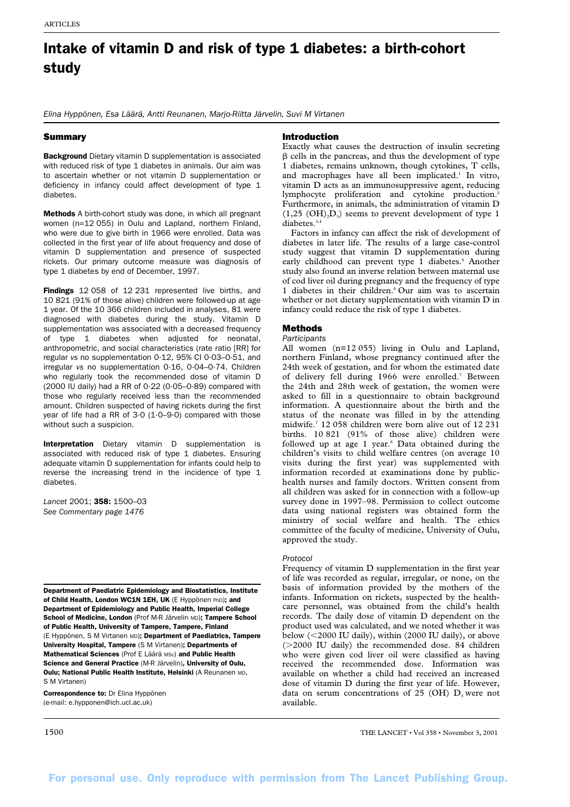# Intake of vitamin D and risk of type 1 diabetes: a birth-cohort study

*Elina Hyppönen, Esa Läärä, Antti Reunanen, Marjo-Riitta Järvelin, Suvi M Virtanen*

## Summary

**Background** Dietary vitamin D supplementation is associated with reduced risk of type 1 diabetes in animals. Our aim was to ascertain whether or not vitamin D supplementation or deficiency in infancy could affect development of type 1 diabetes.

Methods A birth-cohort study was done, in which all pregnant women (n=12 055) in Oulu and Lapland, northern Finland, who were due to give birth in 1966 were enrolled. Data was collected in the first year of life about frequency and dose of vitamin D supplementation and presence of suspected rickets. Our primary outcome measure was diagnosis of type 1 diabetes by end of December, 1997.

Findings 12 058 of 12 231 represented live births, and 10 821 (91% of those alive) children were followed-up at age 1 year. Of the 10 366 children included in analyses, 81 were diagnosed with diabetes during the study. Vitamin D supplementation was associated with a decreased frequency of type 1 diabetes when adjusted for neonatal, anthropometric, and social characteristics (rate ratio [RR] for regular *vs* no supplementation 0·12, 95% CI 0·03–0·51, and irregular *vs* no supplementation 0·16, 0·04–0·74. Children who regularly took the recommended dose of vitamin D  $(2000$  IU daily) had a RR of  $0.22$   $(0.05-0.89)$  compared with those who regularly received less than the recommended amount. Children suspected of having rickets during the first year of life had a RR of  $3.0$  (1.0–9.0) compared with those without such a suspicion.

Interpretation Dietary vitamin D supplementation is associated with reduced risk of type 1 diabetes. Ensuring adequate vitamin D supplementation for infants could help to reverse the increasing trend in the incidence of type 1 diabetes.

*Lancet* 2001; 358: 1500–03 *See Commentary page 1476*

Department of Paediatric Epidemiology and Biostatistics, Institute of Child Health, London WC1N 1EH, UK (E Hyppönen PhD); and Department of Epidemiology and Public Health, Imperial College School of Medicine, London (Prof M-R Järvelin MD); Tampere School of Public Health, University of Tampere, Tampere, Finland (E Hyppönen, S M Virtanen MD); Department of Paediatrics, Tampere University Hospital, Tampere (S M Virtanen); Departments of Mathematical Sciences (Prof E Läärä MSc) and Public Health Science and General Practice (M-R Järvelin), University of Oulu, Oulu; National Public Health Institute, Helsinki (A Reunanen MD, S M Virtanen)

Correspondence to: Dr Elina Hyppönen (e-mail: e.hypponen@ich.ucl.ac.uk)

# Introduction

Exactly what causes the destruction of insulin secreting B cells in the pancreas, and thus the development of type 1 diabetes, remains unknown, though cytokines, T cells, and macrophages have all been implicated.<sup>1</sup> In vitro, vitamin D acts as an immunosuppressive agent, reducing lymphocyte proliferation and cytokine production.<sup>2</sup> Furthermore, in animals, the administration of vitamin D  $(1,25 \text{ (OH)}, D<sub>3</sub>)$  seems to prevent development of type 1 diabetes.<sup>3,4</sup>

Factors in infancy can affect the risk of development of diabetes in later life. The results of a large case-control study suggest that vitamin D supplementation during early childhood can prevent type 1 diabetes.<sup>5</sup> Another study also found an inverse relation between maternal use of cod liver oil during pregnancy and the frequency of type 1 diabetes in their children.<sup>6</sup> Our aim was to ascertain whether or not dietary supplementation with vitamin D in infancy could reduce the risk of type 1 diabetes.

# Methods

## *Participants*

All women (n=12055) living in Oulu and Lapland, northern Finland, whose pregnancy continued after the 24th week of gestation, and for whom the estimated date of delivery fell during 1966 were enrolled.<sup>7</sup> Between the 24th and 28th week of gestation, the women were asked to fill in a questionnaire to obtain background information. A questionnaire about the birth and the status of the neonate was filled in by the attending midwife.7 12058 children were born alive out of 12231 births. 10 821 (91% of those alive) children were followed up at age 1 year.<sup>8</sup> Data obtained during the children's visits to child welfare centres (on average 10 visits during the first year) was supplemented with information recorded at examinations done by publichealth nurses and family doctors. Written consent from all children was asked for in connection with a follow-up survey done in 1997–98. Permission to collect outcome data using national registers was obtained form the ministry of social welfare and health. The ethics committee of the faculty of medicine, University of Oulu, approved the study.

## *Protocol*

Frequency of vitamin D supplementation in the first year of life was recorded as regular, irregular, or none, on the basis of information provided by the mothers of the infants. Information on rickets, suspected by the healthcare personnel, was obtained from the child's health records. The daily dose of vitamin D dependent on the product used was calculated, and we noted whether it was below (<2000 IU daily), within (2000 IU daily), or above (2000 IU daily) the recommended dose. 84 children who were given cod liver oil were classified as having received the recommended dose. Information was available on whether a child had received an increased dose of vitamin D during the first year of life. However, data on serum concentrations of 25 (OH)  $D_3$  were not available.

1500 THE LANCET • Vol 358 • November 3, 2001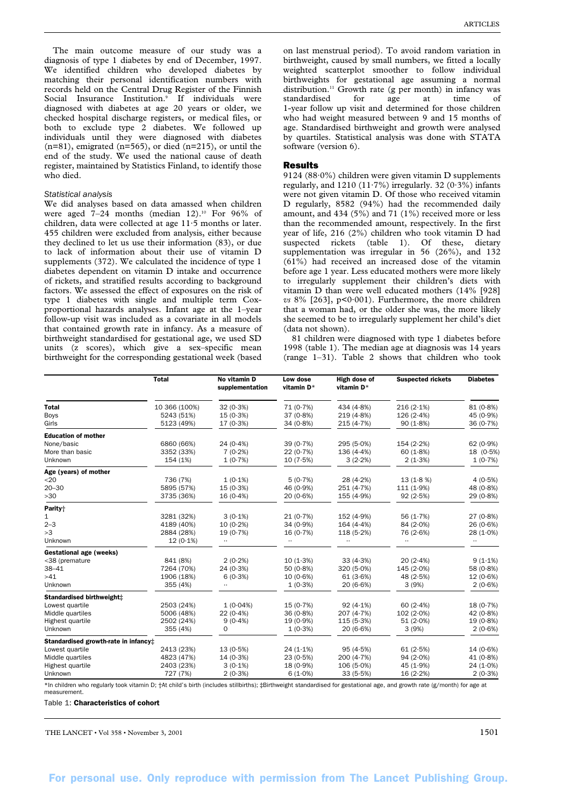The main outcome measure of our study was a diagnosis of type 1 diabetes by end of December, 1997. We identified children who developed diabetes by matching their personal identification numbers with records held on the Central Drug Register of the Finnish Social Insurance Institution.<sup>9</sup> If individuals were diagnosed with diabetes at age 20 years or older, we checked hospital discharge registers, or medical files, or both to exclude type 2 diabetes. We followed up individuals until they were diagnosed with diabetes  $(n=81)$ , emigrated  $(n=565)$ , or died  $(n=215)$ , or until the end of the study. We used the national cause of death register, maintained by Statistics Finland, to identify those who died.

#### *Statistical analysis*

We did analyses based on data amassed when children were aged 7-24 months (median 12).<sup>10</sup> For 96% of children, data were collected at age 11·5 months or later. 455 children were excluded from analysis, either because they declined to let us use their information (83), or due to lack of information about their use of vitamin D supplements (372). We calculated the incidence of type 1 diabetes dependent on vitamin D intake and occurrence of rickets, and stratified results according to background factors. We assessed the effect of exposures on the risk of type 1 diabetes with single and multiple term Coxproportional hazards analyses. Infant age at the 1–year follow-up visit was included as a covariate in all models that contained growth rate in infancy. As a measure of birthweight standardised for gestational age, we used SD units (z scores), which give a sex–specific mean birthweight for the corresponding gestational week (based

on last menstrual period). To avoid random variation in birthweight, caused by small numbers, we fitted a locally weighted scatterplot smoother to follow individual birthweights for gestational age assuming a normal distribution.<sup>11</sup> Growth rate (g per month) in infancy was standardised for age at time of 1-year follow up visit and determined for those children who had weight measured between 9 and 15 months of age. Standardised birthweight and growth were analysed by quartiles. Statistical analysis was done with STATA software (version 6).

#### Results

9124 (88·0%) children were given vitamin D supplements regularly, and  $1210 (11.7%)$  irregularly. 32 (0.3%) infants were not given vitamin D. Of those who received vitamin D regularly, 8582 (94%) had the recommended daily amount, and 434 (5%) and 71 (1%) received more or less than the recommended amount, respectively. In the first year of life, 216 (2%) children who took vitamin D had suspected rickets (table 1). Of these, dietary supplementation was irregular in 56 (26%), and 132  $(61\%)$  had received an increased dose of the vitamin before age 1 year. Less educated mothers were more likely to irregularly supplement their children's diets with vitamin D than were well educated mothers (14% [928] *vs* 8% [263], p<0·001). Furthermore, the more children that a woman had, or the older she was, the more likely she seemed to be to irregularly supplement her child's diet (data not shown).

81 children were diagnosed with type 1 diabetes before 1998 (table 1). The median age at diagnosis was 14 years (range 1–31). Table 2 shows that children who took

|                                      | <b>Total</b>  | No vitamin D<br>supplementation | Low dose<br>vitamin D* | High dose of<br>vitamin D* | <b>Suspected rickets</b> | <b>Diabetes</b> |
|--------------------------------------|---------------|---------------------------------|------------------------|----------------------------|--------------------------|-----------------|
| <b>Total</b>                         | 10 366 (100%) | 32(0.3%)                        | 71(0.7%)               | 434 $(4.8%)$               | $216(2.1\%)$             | 81 (0.8%)       |
| Boys                                 | 5243 (51%)    | 15(0.3%)                        | 37(0.8%)               | 219(4.8%)                  | 126(2.4%)                | 45(0.9%)        |
| Girls                                | 5123 (49%)    | 17(0.3%)                        | $34(0.8\%)$            | 215(4.7%)                  | 90(1.8%)                 | 36(0.7%)        |
| <b>Education of mother</b>           |               |                                 |                        |                            |                          |                 |
| None/basic                           | 6860 (66%)    | $24(0.4\%)$                     | $39(0.7\%)$            | 295 (5.0%)                 | 154(2.2%)                | 62(0.9%)        |
| More than basic                      | 3352 (33%)    | 7(0.2%)                         | 22(0.7%)               | 136(4.4%)                  | 60(1.8%)                 | 18 (0.5%)       |
| Unknown                              | 154 (1%)      | 1(0.7%)                         | 10(7.5%)               | 3(2.2%)                    | 2(1.3%)                  | 1(0.7%)         |
| Age (years) of mother                |               |                                 |                        |                            |                          |                 |
| $20$                                 | 736 (7%)      | $1(0.1\%)$                      | 5(0.7%)                | 28(4.2%)                   | 13(1.8%)                 | 4(0.5%)         |
| $20 - 30$                            | 5895 (57%)    | 15(0.3%)                        | 46 $(0.9%$             | 251(4.7%)                  | 111(1.9%)                | 48 $(0.8%)$     |
| >30                                  | 3735 (36%)    | $16(0.4\%)$                     | $20(0.6\%)$            | 155 (4.9%)                 | 92(2.5%)                 | $29(0.8\%)$     |
| Parity <sup>+</sup>                  |               |                                 |                        |                            |                          |                 |
| 1                                    | 3281 (32%)    | $3(0.1\%)$                      | 21(0.7%)               | 152 (4.9%)                 | 56 $(1.7%)$              | 27(0.8%)        |
| $2 - 3$                              | 4189 (40%)    | $10(0.2\%)$                     | $34(0.9\%)$            | 164(4.4%)                  | $84(2.0\%)$              | 26(0.6%)        |
| >3                                   | 2884 (28%)    | $19(0.7\%)$                     | $16(0.7\%)$            | 118(5.2%)                  | 76 (2.6%)                | $28(1.0\%)$     |
| Unknown                              | $12(0.1\%)$   | $\cdot\cdot$                    | $\ldots$               |                            |                          | $\ldots$        |
| Gestational age (weeks)              |               |                                 |                        |                            |                          |                 |
| <38 (premature                       | 841 (8%)      | $2(0.2\%)$                      | 10(1.3%)               | 33(4.3%)                   | 20(2.4%)                 | $9(1.1\%)$      |
| $38 - 41$                            | 7264 (70%)    | 24(0.3%)                        | 50(0.8%)               | $320(5.0\%)$               | $145(2.0\%)$             | 58 (0.8%)       |
| >41                                  | 1906 (18%)    | 6(0.3%)                         | $10(0.6\%)$            | 61(3.6%)                   | 48 $(2.5%)$              | $12(0.6\%)$     |
| Unknown                              | 355 (4%)      |                                 | $1(0.3\%)$             | 20(6.6%)                   | 3(9%)                    | 2(0.6%)         |
| Standardised birthweight:            |               |                                 |                        |                            |                          |                 |
| Lowest quartile                      | 2503 (24%)    | 1(0.04%)                        | 15(0.7%)               | $92(4.1\%)$                | 60 $(2.4\%)$             | 18(0.7%)        |
| Middle quartiles                     | 5006 (48%)    | $22(0.4\%)$                     | 36(0.8%)               | 207(4.7%)                  | 102(2.0%)                | $42(0.8\%)$     |
| Highest quartile                     | 2502 (24%)    | $9(0.4\%)$                      | $19(0.9\%)$            | 115(5.3%)                  | 51(2.0%)                 | $19(0.8\%)$     |
| Unknown                              | 355 (4%)      | $\Omega$                        | 1(0.3%)                | 20(6.6%)                   | 3(9%)                    | 2(0.6%)         |
| Standardised growth-rate in infancy# |               |                                 |                        |                            |                          |                 |
| Lowest quartile                      | 2413 (23%)    | 13(0.5%)                        | $24(1.1\%)$            | 95(4.5%)                   | 61(2.5%)                 | $14(0.6\%)$     |
| Middle quartiles                     | 4823 (47%)    | 14(0.3%)                        | 23(0.5%)               | 200(4.7%)                  | $94(2.0\%)$              | 41 $(0.8%)$     |
| Highest quartile                     | 2403 (23%)    | $3(0.1\%)$                      | $18(0.9\%)$            | $106(5.0\%)$               | 45(1.9%)                 | $24(1.0\%)$     |
| Unknown                              | 727 (7%)      | $2(0.3\%)$                      | $6(1.0\%)$             | 33(5.5%)                   | 16(2.2%)                 | 2(0.3%)         |

ed for gestational age, and growth rate (g/month) for age at measurement.

Table 1: Characteristics of cohort

THE LANCET • Vol 358 • November 3, 2001  $1501$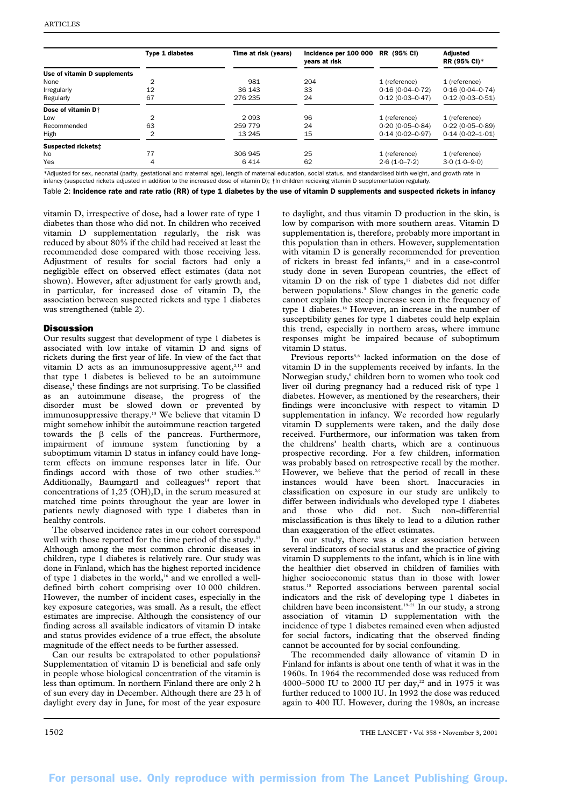|                                | <b>Type 1 diabetes</b> | Time at risk (years) | Incidence per 100 000<br>years at risk | RR (95% CI)         | Adjusted<br>RR (95% CI)* |
|--------------------------------|------------------------|----------------------|----------------------------------------|---------------------|--------------------------|
| Use of vitamin D supplements   |                        |                      |                                        |                     |                          |
| None                           | 2                      | 981                  | 204                                    | 1 (reference)       | 1 (reference)            |
| Irregularly                    | 12                     | 36 143               | 33                                     | $0.16(0.04 - 0.72)$ | $0.16(0.04 - 0.74)$      |
| Regularly                      | 67                     | 276 235              | 24                                     | $0.12(0.03 - 0.47)$ | $0.12(0.03 - 0.51)$      |
| Dose of vitamin D <sup>+</sup> |                        |                      |                                        |                     |                          |
| Low                            | 2                      | 2093                 | 96                                     | 1 (reference)       | 1 (reference)            |
| Recommended                    | 63                     | 259 779              | 24                                     | $0.20(0.05 - 0.84)$ | $0.22(0.05 - 0.89)$      |
| High                           | 2                      | 13 245               | 15                                     | $0.14(0.02 - 0.97)$ | $0.14(0.02 - 1.01)$      |
| Suspected rickets:             |                        |                      |                                        |                     |                          |
| <b>No</b>                      | 77                     | 306 945              | 25                                     | 1 (reference)       | 1 (reference)            |
| Yes                            | 4                      | 6414                 | 62                                     | $2.6(1.0 - 7.2)$    | $3.0(1.0 - 9.0)$         |

\*Adjusted for sex, neonatal (parity, gestational and maternal age), length of maternal education, social status, and standardised birth weight, and growth rate in infancy (suspected rickets adjusted in addition to the increased dose of vitamin D);  $\dagger$ In children recieving vitamin D supplementation regularly

Table 2: Incidence rate and rate ratio (RR) of type 1 diabetes by the use of vitamin D supplements and suspected rickets in infancy

vitamin D, irrespective of dose, had a lower rate of type 1 diabetes than those who did not. In children who received vitamin D supplementation regularly, the risk was reduced by about 80% if the child had received at least the recommended dose compared with those receiving less. Adjustment of results for social factors had only a negligible effect on observed effect estimates (data not shown). However, after adjustment for early growth and, in particular, for increased dose of vitamin D, the association between suspected rickets and type 1 diabetes was strengthened (table 2).

## **Discussion**

Our results suggest that development of type 1 diabetes is associated with low intake of vitamin  $\overline{D}$  and signs of rickets during the first year of life. In view of the fact that vitamin  $D$  acts as an immunosuppressive agent,<sup>2,12</sup> and that type 1 diabetes is believed to be an autoimmune  $disease<sub>1</sub>$ <sup>1</sup> these findings are not surprising. To be classified as an autoimmune disease, the progress of the disorder must be slowed down or prevented by immunosuppressive therapy.<sup>13</sup> We believe that vitamin D might somehow inhibit the autoimmune reaction targeted towards the  $\beta$  cells of the pancreas. Furthermore, impairment of immune system functioning by a suboptimum vitamin D status in infancy could have longterm effects on immune responses later in life. Our findings accord with those of two other studies.<sup>5,6</sup> Additionally, Baumgartl and colleagues<sup>14</sup> report that concentrations of 1,25 (OH)<sub>2</sub>D<sub>3</sub> in the serum measured at matched time points throughout the year are lower in patients newly diagnosed with type 1 diabetes than in healthy controls.

The observed incidence rates in our cohort correspond well with those reported for the time period of the study.<sup>15</sup> Although among the most common chronic diseases in children, type 1 diabetes is relatively rare. Our study was done in Finland, which has the highest reported incidence of type 1 diabetes in the world,<sup>16</sup> and we enrolled a welldefined birth cohort comprising over 10 000 children. However, the number of incident cases, especially in the key exposure categories, was small. As a result, the effect estimates are imprecise. Although the consistency of our finding across all available indicators of vitamin D intake and status provides evidence of a true effect, the absolute magnitude of the effect needs to be further assessed.

Can our results be extrapolated to other populations? Supplementation of vitamin D is beneficial and safe only in people whose biological concentration of the vitamin is less than optimum. In northern Finland there are only 2 h of sun every day in December. Although there are 23 h of daylight every day in June, for most of the year exposure to daylight, and thus vitamin D production in the skin, is low by comparison with more southern areas. Vitamin D supplementation is, therefore, probably more important in this population than in others. However, supplementation with vitamin D is generally recommended for prevention of rickets in breast fed infants,<sup>17</sup> and in a case-control study done in seven European countries, the effect of vitamin D on the risk of type 1 diabetes did not differ between populations.<sup>5</sup> Slow changes in the genetic code cannot explain the steep increase seen in the frequency of type 1 diabetes.<sup>16</sup> However, an increase in the number of susceptibility genes for type 1 diabetes could help explain this trend, especially in northern areas, where immune responses might be impaired because of suboptimum vitamin D status.

Previous reports<sup>5,6</sup> lacked information on the dose of vitamin D in the supplements received by infants. In the Norwegian study,<sup>6</sup> children born to women who took cod liver oil during pregnancy had a reduced risk of type 1 diabetes. However, as mentioned by the researchers, their findings were inconclusive with respect to vitamin D supplementation in infancy. We recorded how regularly vitamin D supplements were taken, and the daily dose received. Furthermore, our information was taken from the childrens' health charts, which are a continuous prospective recording. For a few children, information was probably based on retrospective recall by the mother. However, we believe that the period of recall in these instances would have been short. Inaccuracies in classification on exposure in our study are unlikely to differ between individuals who developed type 1 diabetes and those who did not. Such non-differential misclassification is thus likely to lead to a dilution rather than exaggeration of the effect estimates.

In our study, there was a clear association between several indicators of social status and the practice of giving vitamin D supplements to the infant, which is in line with the healthier diet observed in children of families with higher socioeconomic status than in those with lower status.18 Reported associations between parental social indicators and the risk of developing type 1 diabetes in children have been inconsistent.<sup>19–21</sup> In our study, a strong association of vitamin D supplementation with the incidence of type 1 diabetes remained even when adjusted for social factors, indicating that the observed finding cannot be accounted for by social confounding.

The recommended daily allowance of vitamin D in Finland for infants is about one tenth of what it was in the 1960s. In 1964 the recommended dose was reduced from 4000–5000 IU to 2000 IU per day,<sup>22</sup> and in 1975 it was further reduced to 1000 IU. In 1992 the dose was reduced again to 400 IU. However, during the 1980s, an increase